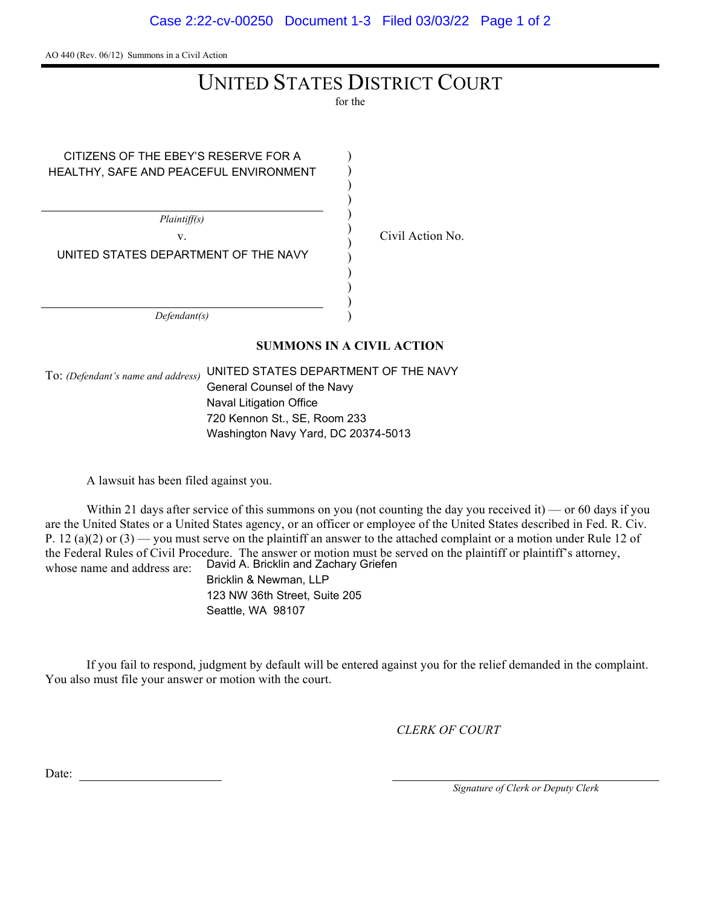AO 440 (Rev. 06/12) Summons in a Civil Action

## UNITED STATES DISTRICT COURT

for the

| CITIZENS OF THE EBEY'S RESERVE FOR A   |  |
|----------------------------------------|--|
| HEALTHY, SAFE AND PEACEFUL ENVIRONMENT |  |
|                                        |  |
|                                        |  |
|                                        |  |
| Plaintiff(s)                           |  |
| V.                                     |  |
| UNITED STATES DEPARTMENT OF THE NAVY   |  |
|                                        |  |
|                                        |  |
|                                        |  |
|                                        |  |
| Defendant(s)                           |  |

Civil Action No.

SUMMONS IN A CIVIL ACTION

To: (Defendant's name and address) UNITED STATES DEPARTMENT OF THE NAVY General Counsel of the Navy Naval Litigation Office 720 Kennon St., SE, Room 233 Washington Navy Yard, DC 20374-5013

A lawsuit has been filed against you.

Within 21 days after service of this summons on you (not counting the day you received it) — or 60 days if you are the United States or a United States agency, or an officer or employee of the United States described in Fed. R. Civ. P. 12 (a)(2) or  $(3)$  — you must serve on the plaintiff an answer to the attached complaint or a motion under Rule 12 of the Federal Rules of Civil Procedure. The answer or motion must be served on the plaintiff or plaintiff's attorney, whose name and address are: David A. Bricklin and Zachary Griefen Bricklin & Newman, LLP

123 NW 36th Street, Suite 205 Seattle, WA 98107

If you fail to respond, judgment by default will be entered against you for the relief demanded in the complaint. You also must file your answer or motion with the court.

CLERK OF COURT

Date:

Signature of Clerk or Deputy Clerk